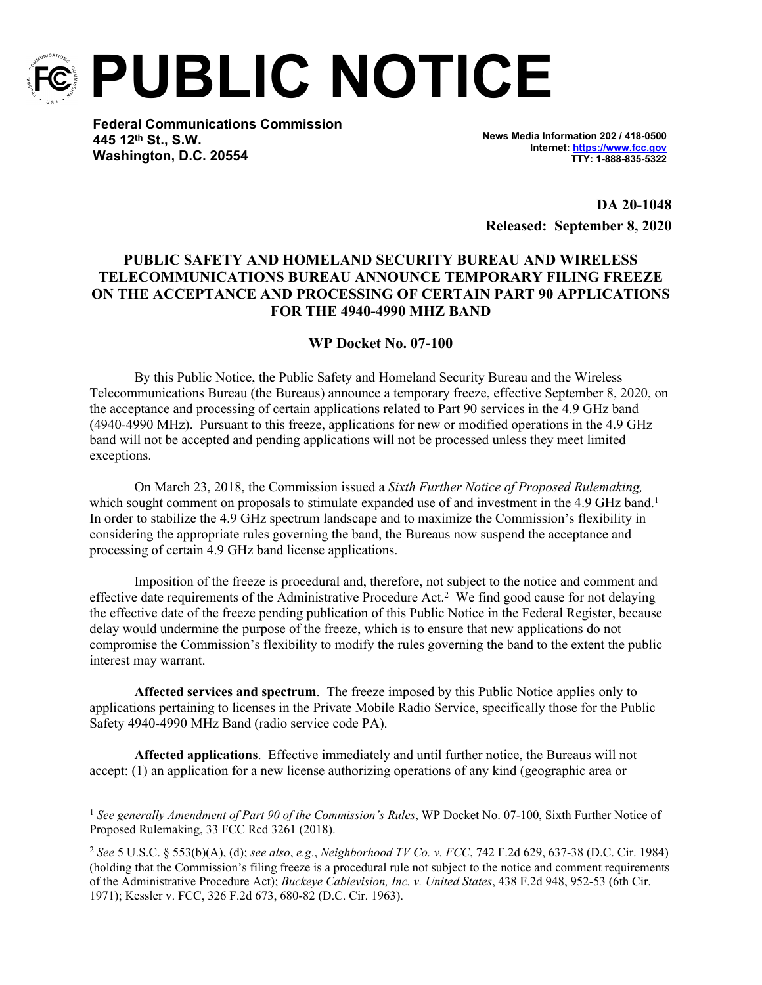

**PUBLIC NOTICE**

**Federal Communications Commission 445 12th St., S.W. Washington, D.C. 20554**

**News Media Information 202 / 418-0500 Internet:<https://www.fcc.gov> TTY: 1-888-835-5322**

**DA 20-1048 Released: September 8, 2020**

## **PUBLIC SAFETY AND HOMELAND SECURITY BUREAU AND WIRELESS TELECOMMUNICATIONS BUREAU ANNOUNCE TEMPORARY FILING FREEZE ON THE ACCEPTANCE AND PROCESSING OF CERTAIN PART 90 APPLICATIONS FOR THE 4940-4990 MHZ BAND**

## **WP Docket No. 07-100**

By this Public Notice, the Public Safety and Homeland Security Bureau and the Wireless Telecommunications Bureau (the Bureaus) announce a temporary freeze, effective September 8, 2020, on the acceptance and processing of certain applications related to Part 90 services in the 4.9 GHz band (4940-4990 MHz). Pursuant to this freeze, applications for new or modified operations in the 4.9 GHz band will not be accepted and pending applications will not be processed unless they meet limited exceptions.

On March 23, 2018, the Commission issued a *Sixth Further Notice of Proposed Rulemaking,* which sought comment on proposals to stimulate expanded use of and investment in the 4.9 GHz band.<sup>1</sup> In order to stabilize the 4.9 GHz spectrum landscape and to maximize the Commission's flexibility in considering the appropriate rules governing the band, the Bureaus now suspend the acceptance and processing of certain 4.9 GHz band license applications.

Imposition of the freeze is procedural and, therefore, not subject to the notice and comment and effective date requirements of the Administrative Procedure Act.<sup>2</sup> We find good cause for not delaying the effective date of the freeze pending publication of this Public Notice in the Federal Register, because delay would undermine the purpose of the freeze, which is to ensure that new applications do not compromise the Commission's flexibility to modify the rules governing the band to the extent the public interest may warrant.

**Affected services and spectrum**. The freeze imposed by this Public Notice applies only to applications pertaining to licenses in the Private Mobile Radio Service, specifically those for the Public Safety 4940-4990 MHz Band (radio service code PA).

**Affected applications**. Effective immediately and until further notice, the Bureaus will not accept: (1) an application for a new license authorizing operations of any kind (geographic area or

<sup>&</sup>lt;sup>1</sup> See generally Amendment of Part 90 of the Commission's Rules, WP Docket No. 07-100, Sixth Further Notice of Proposed Rulemaking, 33 FCC Rcd 3261 (2018).

<sup>2</sup> *See* 5 U.S.C. § 553(b)(A), (d); *see also*, *e.g*., *Neighborhood TV Co. v. FCC*, 742 F.2d 629, 637-38 (D.C. Cir. 1984) (holding that the Commission's filing freeze is a procedural rule not subject to the notice and comment requirements of the Administrative Procedure Act); *Buckeye Cablevision, Inc. v. United States*, 438 F.2d 948, 952-53 (6th Cir. 1971); Kessler v. FCC, 326 F.2d 673, 680-82 (D.C. Cir. 1963).